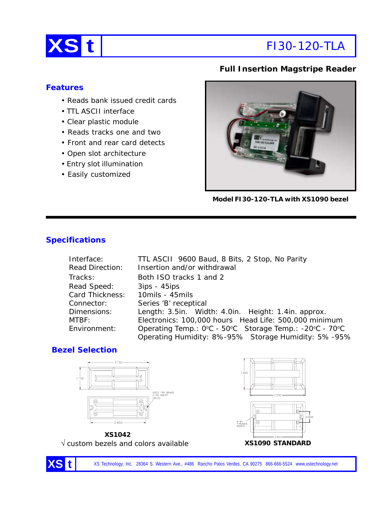

## **Full Insertion Magstripe Reader**

## **Features**

- Reads bank issued credit cards
- TTL ASCII interface
- Clear plastic module
- Reads tracks one and two
- Front and rear card detects
- Open slot architecture
- Entry slot illumination
- Easily customized



**Model FI30-120-TLA with XS1090 bezel**

# **Specifications**

| Interface:      | TTL ASCII 9600 Baud, 8 Bits, 2 Stop, No Parity          |  |  |
|-----------------|---------------------------------------------------------|--|--|
| Read Direction: | Insertion and/or withdrawal                             |  |  |
| Tracks:         | Both ISO tracks 1 and 2                                 |  |  |
| Read Speed:     | $3ips - 45ips$                                          |  |  |
| Card Thickness: | 10mils - 45mils                                         |  |  |
| Connector:      | Series 'B' receptical                                   |  |  |
| Dimensions:     | Length: 3.5in. Width: 4.0in. Height: 1.4in. approx.     |  |  |
| MTBF:           | Electronics: 100,000 hours Head Life: 500,000 minimum   |  |  |
| Environment:    | Operating Temp.: 0°C - 50°C Storage Temp.: -20°C - 70°C |  |  |
|                 | Operating Humidity: 8%-95% Storage Humidity: 5%-95%     |  |  |

## **Bezel Selection**



√ custom bezels and colors available **XS1090 STANDARD**



XS Technology, Inc. 28364 S. Western Ave., #486 Rancho Palos Verdes, CA 90275 866-666-5524 www.xstechnology.net